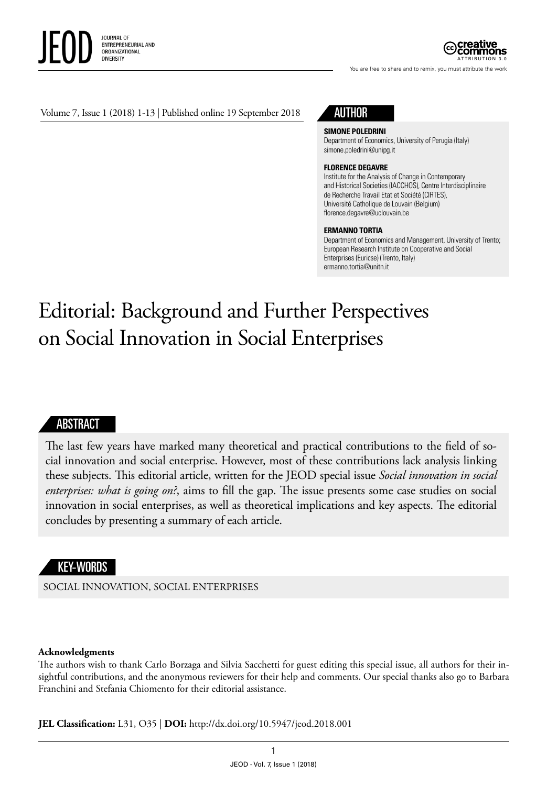

ATTRIBUTION 3.0

You are free to share and to remix, you must attribute the work

#### Volume 7, Issue 1 (2018) 1-13 | Published online 19 September 2018

## AUTHOR

**SIMONE POLEDRINI**

Department of Economics, University of Perugia (Italy) [simone.poledrini@unipg.it](mailto:simone.poledrini@unipg.it)

#### **FLORENCE DEGAVRE**

Institute for the Analysis of Change in Contemporary and Historical Societies (IACCHOS), Centre Interdisciplinaire de Recherche Travail Etat et Société (CIRTES), Université Catholique de Louvain (Belgium) [florence.degavre@uclouvain.be](mailto:florence.degavre@uclouvain.be)

#### **ERMANNO TORTIA**

Department of Economics and Management, University of Trento; European Research Institute on Cooperative and Social Enterprises (Euricse) (Trento, Italy) [ermanno.tortia@unitn.it](mailto:ermanno.tortia@unitn.it)

# Editorial: Background and Further Perspectives on Social Innovation in Social Enterprises

#### ABSTRACT

The last few years have marked many theoretical and practical contributions to the field of social innovation and social enterprise. However, most of these contributions lack analysis linking these subjects. This editorial article, written for the JEOD special issue *Social innovation in social enterprises: what is going on?*, aims to fill the gap. The issue presents some case studies on social innovation in social enterprises, as well as theoretical implications and key aspects. The editorial concludes by presenting a summary of each article.

### KEY-WORDS

SOCIAL INNOVATION, SOCIAL ENTERPRISES

#### **Acknowledgments**

The authors wish to thank Carlo Borzaga and Silvia Sacchetti for guest editing this special issue, all authors for their insightful contributions, and the anonymous reviewers for their help and comments. Our special thanks also go to Barbara Franchini and Stefania Chiomento for their editorial assistance.

**JEL Classification:** L31, O35 | **DOI:** <http://dx.doi.org/10.5947/jeod.2018.001>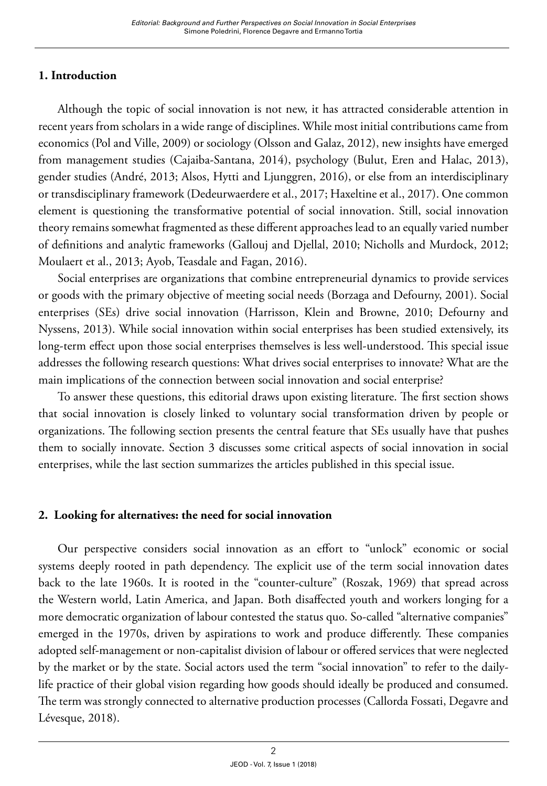## **1. Introduction**

Although the topic of social innovation is not new, it has attracted considerable attention in recent years from scholars in a wide range of disciplines. While most initial contributions came from economics (Pol and Ville, 2009) or sociology (Olsson and Galaz, 2012), new insights have emerged from management studies (Cajaiba-Santana, 2014), psychology (Bulut, Eren and Halac, 2013), gender studies (André, 2013; Alsos, Hytti and Ljunggren, 2016), or else from an interdisciplinary or transdisciplinary framework (Dedeurwaerdere et al., 2017; Haxeltine et al., 2017). One common element is questioning the transformative potential of social innovation. Still, social innovation theory remains somewhat fragmented as these different approaches lead to an equally varied number of definitions and analytic frameworks (Gallouj and Djellal, 2010; Nicholls and Murdock, 2012; Moulaert et al., 2013; Ayob, Teasdale and Fagan, 2016).

Social enterprises are organizations that combine entrepreneurial dynamics to provide services or goods with the primary objective of meeting social needs (Borzaga and Defourny, 2001). Social enterprises (SEs) drive social innovation (Harrisson, Klein and Browne, 2010; Defourny and Nyssens, 2013). While social innovation within social enterprises has been studied extensively, its long-term effect upon those social enterprises themselves is less well-understood. This special issue addresses the following research questions: What drives social enterprises to innovate? What are the main implications of the connection between social innovation and social enterprise?

To answer these questions, this editorial draws upon existing literature. The first section shows that social innovation is closely linked to voluntary social transformation driven by people or organizations. The following section presents the central feature that SEs usually have that pushes them to socially innovate. Section 3 discusses some critical aspects of social innovation in social enterprises, while the last section summarizes the articles published in this special issue.

## **2. Looking for alternatives: the need for social innovation**

Our perspective considers social innovation as an effort to "unlock" economic or social systems deeply rooted in path dependency. The explicit use of the term social innovation dates back to the late 1960s. It is rooted in the "counter-culture" (Roszak, 1969) that spread across the Western world, Latin America, and Japan. Both disaffected youth and workers longing for a more democratic organization of labour contested the status quo. So-called "alternative companies" emerged in the 1970s, driven by aspirations to work and produce differently. These companies adopted self-management or non-capitalist division of labour or offered services that were neglected by the market or by the state. Social actors used the term "social innovation" to refer to the dailylife practice of their global vision regarding how goods should ideally be produced and consumed. The term was strongly connected to alternative production processes (Callorda Fossati, Degavre and Lévesque, 2018).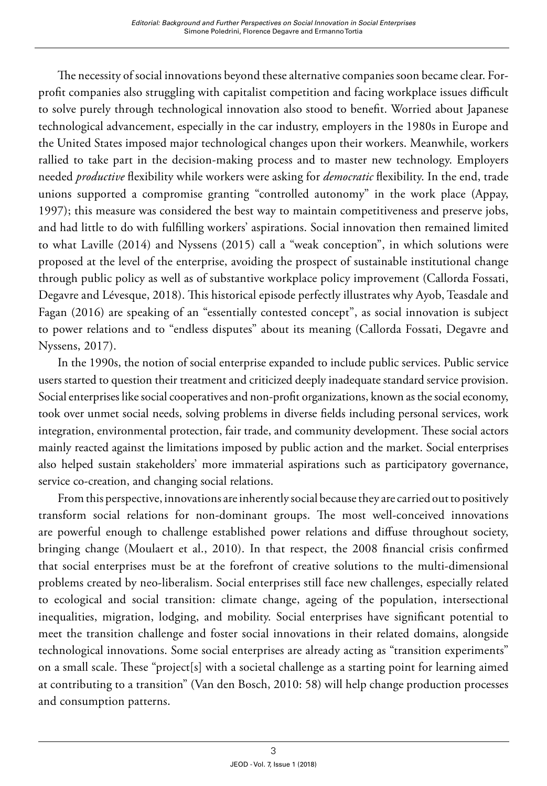The necessity of social innovations beyond these alternative companies soon became clear. Forprofit companies also struggling with capitalist competition and facing workplace issues difficult to solve purely through technological innovation also stood to benefit. Worried about Japanese technological advancement, especially in the car industry, employers in the 1980s in Europe and the United States imposed major technological changes upon their workers. Meanwhile, workers rallied to take part in the decision-making process and to master new technology. Employers needed *productive* flexibility while workers were asking for *democratic* flexibility. In the end, trade unions supported a compromise granting "controlled autonomy" in the work place (Appay, 1997); this measure was considered the best way to maintain competitiveness and preserve jobs, and had little to do with fulfilling workers' aspirations. Social innovation then remained limited to what Laville (2014) and Nyssens (2015) call a "weak conception", in which solutions were proposed at the level of the enterprise, avoiding the prospect of sustainable institutional change through public policy as well as of substantive workplace policy improvement (Callorda Fossati, Degavre and Lévesque, 2018). This historical episode perfectly illustrates why Ayob, Teasdale and Fagan (2016) are speaking of an "essentially contested concept", as social innovation is subject to power relations and to "endless disputes" about its meaning (Callorda Fossati, Degavre and Nyssens, 2017).

In the 1990s, the notion of social enterprise expanded to include public services. Public service users started to question their treatment and criticized deeply inadequate standard service provision. Social enterprises like social cooperatives and non-profit organizations, known as the social economy, took over unmet social needs, solving problems in diverse fields including personal services, work integration, environmental protection, fair trade, and community development. These social actors mainly reacted against the limitations imposed by public action and the market. Social enterprises also helped sustain stakeholders' more immaterial aspirations such as participatory governance, service co-creation, and changing social relations.

From this perspective, innovations are inherently social because they are carried out to positively transform social relations for non-dominant groups. The most well-conceived innovations are powerful enough to challenge established power relations and diffuse throughout society, bringing change (Moulaert et al., 2010). In that respect, the 2008 financial crisis confirmed that social enterprises must be at the forefront of creative solutions to the multi-dimensional problems created by neo-liberalism. Social enterprises still face new challenges, especially related to ecological and social transition: climate change, ageing of the population, intersectional inequalities, migration, lodging, and mobility. Social enterprises have significant potential to meet the transition challenge and foster social innovations in their related domains, alongside technological innovations. Some social enterprises are already acting as "transition experiments" on a small scale. These "project[s] with a societal challenge as a starting point for learning aimed at contributing to a transition" (Van den Bosch, 2010: 58) will help change production processes and consumption patterns.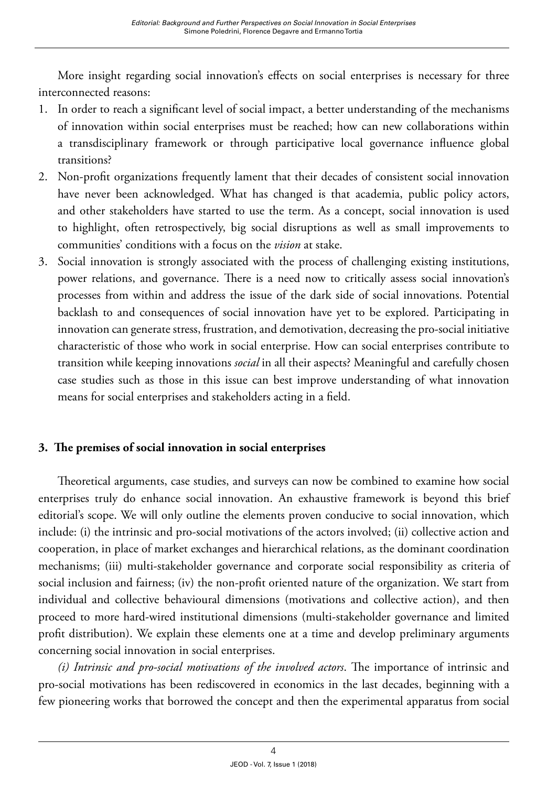More insight regarding social innovation's effects on social enterprises is necessary for three interconnected reasons:

- 1. In order to reach a significant level of social impact, a better understanding of the mechanisms of innovation within social enterprises must be reached; how can new collaborations within a transdisciplinary framework or through participative local governance influence global transitions?
- 2. Non-profit organizations frequently lament that their decades of consistent social innovation have never been acknowledged. What has changed is that academia, public policy actors, and other stakeholders have started to use the term. As a concept, social innovation is used to highlight, often retrospectively, big social disruptions as well as small improvements to communities' conditions with a focus on the *vision* at stake.
- 3. Social innovation is strongly associated with the process of challenging existing institutions, power relations, and governance. There is a need now to critically assess social innovation's processes from within and address the issue of the dark side of social innovations. Potential backlash to and consequences of social innovation have yet to be explored. Participating in innovation can generate stress, frustration, and demotivation, decreasing the pro-social initiative characteristic of those who work in social enterprise. How can social enterprises contribute to transition while keeping innovations *social* in all their aspects? Meaningful and carefully chosen case studies such as those in this issue can best improve understanding of what innovation means for social enterprises and stakeholders acting in a field.

## **3. The premises of social innovation in social enterprises**

Theoretical arguments, case studies, and surveys can now be combined to examine how social enterprises truly do enhance social innovation. An exhaustive framework is beyond this brief editorial's scope. We will only outline the elements proven conducive to social innovation, which include: (i) the intrinsic and pro-social motivations of the actors involved; (ii) collective action and cooperation, in place of market exchanges and hierarchical relations, as the dominant coordination mechanisms; (iii) multi-stakeholder governance and corporate social responsibility as criteria of social inclusion and fairness; (iv) the non-profit oriented nature of the organization. We start from individual and collective behavioural dimensions (motivations and collective action), and then proceed to more hard-wired institutional dimensions (multi-stakeholder governance and limited profit distribution). We explain these elements one at a time and develop preliminary arguments concerning social innovation in social enterprises.

*(i) Intrinsic and pro-social motivations of the involved actors*. The importance of intrinsic and pro-social motivations has been rediscovered in economics in the last decades, beginning with a few pioneering works that borrowed the concept and then the experimental apparatus from social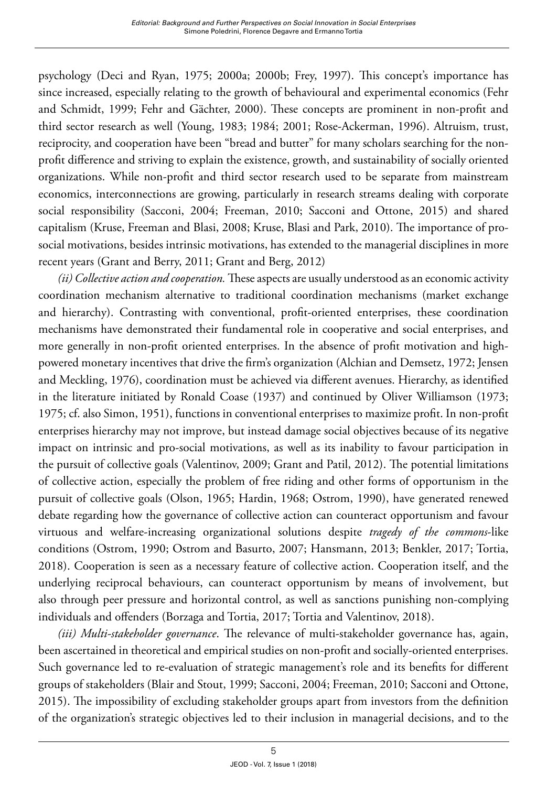psychology (Deci and Ryan, 1975; 2000a; 2000b; Frey, 1997). This concept's importance has since increased, especially relating to the growth of behavioural and experimental economics (Fehr and Schmidt, 1999; Fehr and Gächter, 2000). These concepts are prominent in non-profit and third sector research as well (Young, 1983; 1984; 2001; Rose-Ackerman, 1996). Altruism, trust, reciprocity, and cooperation have been "bread and butter" for many scholars searching for the nonprofit difference and striving to explain the existence, growth, and sustainability of socially oriented organizations. While non-profit and third sector research used to be separate from mainstream economics, interconnections are growing, particularly in research streams dealing with corporate social responsibility (Sacconi, 2004; Freeman, 2010; Sacconi and Ottone, 2015) and shared capitalism (Kruse, Freeman and Blasi, 2008; Kruse, Blasi and Park, 2010). The importance of prosocial motivations, besides intrinsic motivations, has extended to the managerial disciplines in more recent years (Grant and Berry, 2011; Grant and Berg, 2012)

*(ii) Collective action and cooperation.* These aspects are usually understood as an economic activity coordination mechanism alternative to traditional coordination mechanisms (market exchange and hierarchy). Contrasting with conventional, profit-oriented enterprises, these coordination mechanisms have demonstrated their fundamental role in cooperative and social enterprises, and more generally in non-profit oriented enterprises. In the absence of profit motivation and highpowered monetary incentives that drive the firm's organization (Alchian and Demsetz, 1972; Jensen and Meckling, 1976), coordination must be achieved via different avenues. Hierarchy, as identified in the literature initiated by Ronald Coase (1937) and continued by Oliver Williamson (1973; 1975; cf. also Simon, 1951), functions in conventional enterprises to maximize profit. In non-profit enterprises hierarchy may not improve, but instead damage social objectives because of its negative impact on intrinsic and pro-social motivations, as well as its inability to favour participation in the pursuit of collective goals (Valentinov, 2009; Grant and Patil, 2012). The potential limitations of collective action, especially the problem of free riding and other forms of opportunism in the pursuit of collective goals (Olson, 1965; Hardin, 1968; Ostrom, 1990), have generated renewed debate regarding how the governance of collective action can counteract opportunism and favour virtuous and welfare-increasing organizational solutions despite *tragedy of the commons*-like conditions (Ostrom, 1990; Ostrom and Basurto, 2007; Hansmann, 2013; Benkler, 2017; Tortia, 2018). Cooperation is seen as a necessary feature of collective action. Cooperation itself, and the underlying reciprocal behaviours, can counteract opportunism by means of involvement, but also through peer pressure and horizontal control, as well as sanctions punishing non-complying individuals and offenders (Borzaga and Tortia, 2017; Tortia and Valentinov, 2018).

*(iii) Multi-stakeholder governance*. The relevance of multi-stakeholder governance has, again, been ascertained in theoretical and empirical studies on non-profit and socially-oriented enterprises. Such governance led to re-evaluation of strategic management's role and its benefits for different groups of stakeholders (Blair and Stout, 1999; Sacconi, 2004; Freeman, 2010; Sacconi and Ottone, 2015). The impossibility of excluding stakeholder groups apart from investors from the definition of the organization's strategic objectives led to their inclusion in managerial decisions, and to the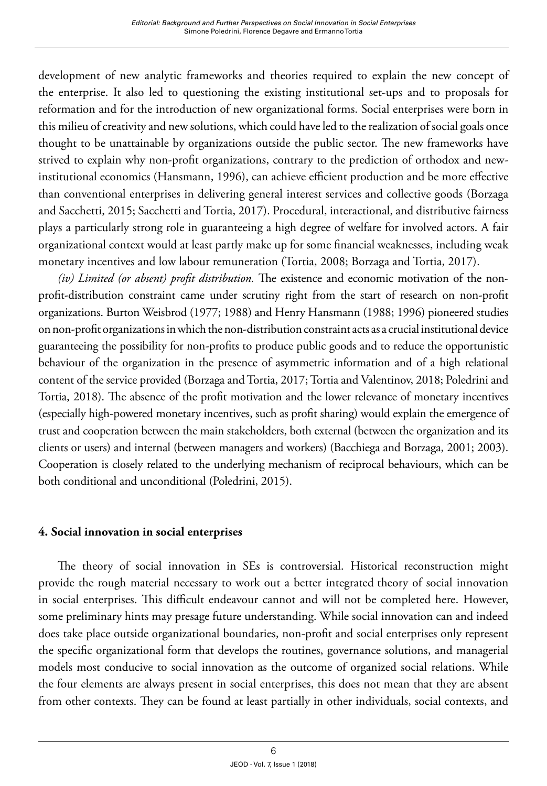development of new analytic frameworks and theories required to explain the new concept of the enterprise. It also led to questioning the existing institutional set-ups and to proposals for reformation and for the introduction of new organizational forms. Social enterprises were born in this milieu of creativity and new solutions, which could have led to the realization of social goals once thought to be unattainable by organizations outside the public sector. The new frameworks have strived to explain why non-profit organizations, contrary to the prediction of orthodox and newinstitutional economics (Hansmann, 1996), can achieve efficient production and be more effective than conventional enterprises in delivering general interest services and collective goods (Borzaga and Sacchetti, 2015; Sacchetti and Tortia, 2017). Procedural, interactional, and distributive fairness plays a particularly strong role in guaranteeing a high degree of welfare for involved actors. A fair organizational context would at least partly make up for some financial weaknesses, including weak monetary incentives and low labour remuneration (Tortia, 2008; Borzaga and Tortia, 2017).

*(iv) Limited (or absent) profit distribution.* The existence and economic motivation of the nonprofit-distribution constraint came under scrutiny right from the start of research on non-profit organizations. Burton Weisbrod (1977; 1988) and Henry Hansmann (1988; 1996) pioneered studies on non-profit organizations in which the non-distribution constraint acts as a crucial institutional device guaranteeing the possibility for non-profits to produce public goods and to reduce the opportunistic behaviour of the organization in the presence of asymmetric information and of a high relational content of the service provided (Borzaga and Tortia, 2017; Tortia and Valentinov, 2018; Poledrini and Tortia, 2018). The absence of the profit motivation and the lower relevance of monetary incentives (especially high-powered monetary incentives, such as profit sharing) would explain the emergence of trust and cooperation between the main stakeholders, both external (between the organization and its clients or users) and internal (between managers and workers) (Bacchiega and Borzaga, 2001; 2003). Cooperation is closely related to the underlying mechanism of reciprocal behaviours, which can be both conditional and unconditional (Poledrini, 2015).

## **4. Social innovation in social enterprises**

The theory of social innovation in SEs is controversial. Historical reconstruction might provide the rough material necessary to work out a better integrated theory of social innovation in social enterprises. This difficult endeavour cannot and will not be completed here. However, some preliminary hints may presage future understanding. While social innovation can and indeed does take place outside organizational boundaries, non-profit and social enterprises only represent the specific organizational form that develops the routines, governance solutions, and managerial models most conducive to social innovation as the outcome of organized social relations. While the four elements are always present in social enterprises, this does not mean that they are absent from other contexts. They can be found at least partially in other individuals, social contexts, and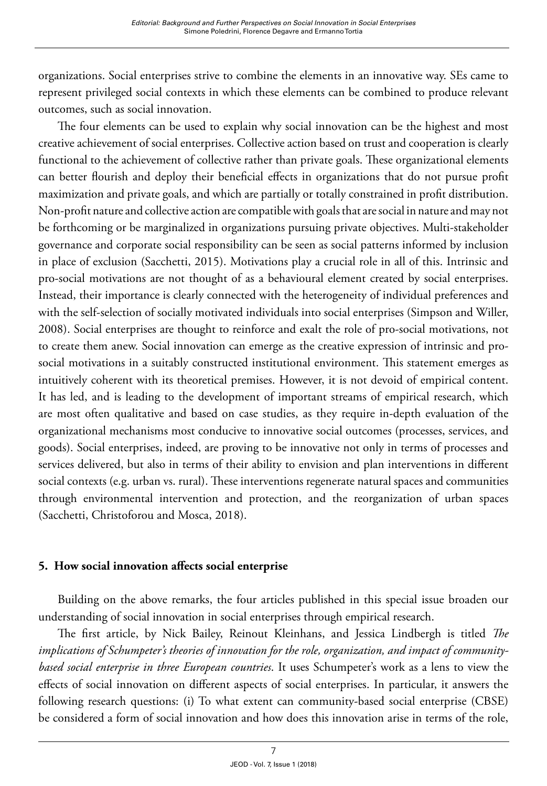organizations. Social enterprises strive to combine the elements in an innovative way. SEs came to represent privileged social contexts in which these elements can be combined to produce relevant outcomes, such as social innovation.

The four elements can be used to explain why social innovation can be the highest and most creative achievement of social enterprises. Collective action based on trust and cooperation is clearly functional to the achievement of collective rather than private goals. These organizational elements can better flourish and deploy their beneficial effects in organizations that do not pursue profit maximization and private goals, and which are partially or totally constrained in profit distribution. Non-profit nature and collective action are compatible with goals that are social in nature and may not be forthcoming or be marginalized in organizations pursuing private objectives. Multi-stakeholder governance and corporate social responsibility can be seen as social patterns informed by inclusion in place of exclusion (Sacchetti, 2015). Motivations play a crucial role in all of this. Intrinsic and pro-social motivations are not thought of as a behavioural element created by social enterprises. Instead, their importance is clearly connected with the heterogeneity of individual preferences and with the self-selection of socially motivated individuals into social enterprises (Simpson and Willer, 2008). Social enterprises are thought to reinforce and exalt the role of pro-social motivations, not to create them anew. Social innovation can emerge as the creative expression of intrinsic and prosocial motivations in a suitably constructed institutional environment. This statement emerges as intuitively coherent with its theoretical premises. However, it is not devoid of empirical content. It has led, and is leading to the development of important streams of empirical research, which are most often qualitative and based on case studies, as they require in-depth evaluation of the organizational mechanisms most conducive to innovative social outcomes (processes, services, and goods). Social enterprises, indeed, are proving to be innovative not only in terms of processes and services delivered, but also in terms of their ability to envision and plan interventions in different social contexts (e.g. urban vs. rural). These interventions regenerate natural spaces and communities through environmental intervention and protection, and the reorganization of urban spaces (Sacchetti, Christoforou and Mosca, 2018).

## **5. How social innovation affects social enterprise**

Building on the above remarks, the four articles published in this special issue broaden our understanding of social innovation in social enterprises through empirical research.

The first article, by Nick Bailey, Reinout Kleinhans, and Jessica Lindbergh is titled *The implications of Schumpeter's theories of innovation for the role, organization, and impact of communitybased social enterprise in three European countries*. It uses Schumpeter's work as a lens to view the effects of social innovation on different aspects of social enterprises. In particular, it answers the following research questions: (i) To what extent can community-based social enterprise (CBSE) be considered a form of social innovation and how does this innovation arise in terms of the role,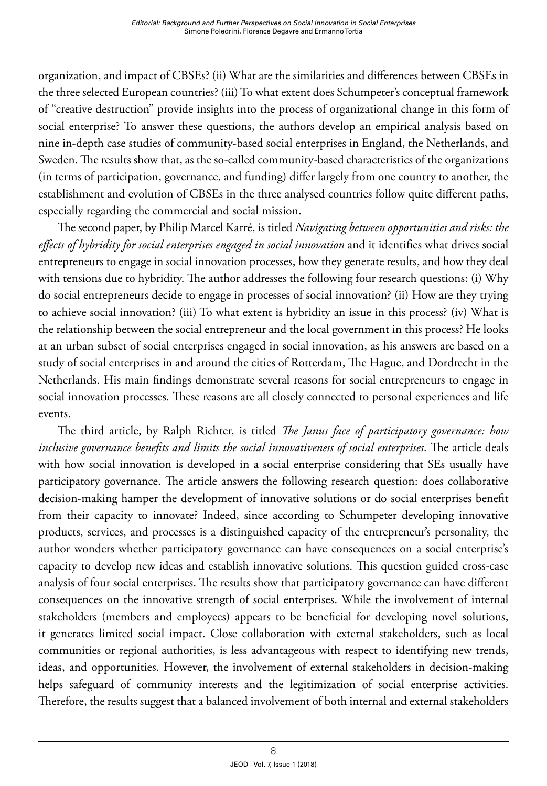organization, and impact of CBSEs? (ii) What are the similarities and differences between CBSEs in the three selected European countries? (iii) To what extent does Schumpeter's conceptual framework of "creative destruction" provide insights into the process of organizational change in this form of social enterprise? To answer these questions, the authors develop an empirical analysis based on nine in-depth case studies of community-based social enterprises in England, the Netherlands, and Sweden. The results show that, as the so-called community-based characteristics of the organizations (in terms of participation, governance, and funding) differ largely from one country to another, the establishment and evolution of CBSEs in the three analysed countries follow quite different paths, especially regarding the commercial and social mission.

The second paper, by Philip Marcel Karré, is titled *Navigating between opportunities and risks: the effects of hybridity for social enterprises engaged in social innovation* and it identifies what drives social entrepreneurs to engage in social innovation processes, how they generate results, and how they deal with tensions due to hybridity. The author addresses the following four research questions: (i) Why do social entrepreneurs decide to engage in processes of social innovation? (ii) How are they trying to achieve social innovation? (iii) To what extent is hybridity an issue in this process? (iv) What is the relationship between the social entrepreneur and the local government in this process? He looks at an urban subset of social enterprises engaged in social innovation, as his answers are based on a study of social enterprises in and around the cities of Rotterdam, The Hague, and Dordrecht in the Netherlands. His main findings demonstrate several reasons for social entrepreneurs to engage in social innovation processes. These reasons are all closely connected to personal experiences and life events.

The third article, by Ralph Richter, is titled *The Janus face of participatory governance: how inclusive governance benefits and limits the social innovativeness of social enterprises*. The article deals with how social innovation is developed in a social enterprise considering that SEs usually have participatory governance. The article answers the following research question: does collaborative decision-making hamper the development of innovative solutions or do social enterprises benefit from their capacity to innovate? Indeed, since according to Schumpeter developing innovative products, services, and processes is a distinguished capacity of the entrepreneur's personality, the author wonders whether participatory governance can have consequences on a social enterprise's capacity to develop new ideas and establish innovative solutions. This question guided cross-case analysis of four social enterprises. The results show that participatory governance can have different consequences on the innovative strength of social enterprises. While the involvement of internal stakeholders (members and employees) appears to be beneficial for developing novel solutions, it generates limited social impact. Close collaboration with external stakeholders, such as local communities or regional authorities, is less advantageous with respect to identifying new trends, ideas, and opportunities. However, the involvement of external stakeholders in decision-making helps safeguard of community interests and the legitimization of social enterprise activities. Therefore, the results suggest that a balanced involvement of both internal and external stakeholders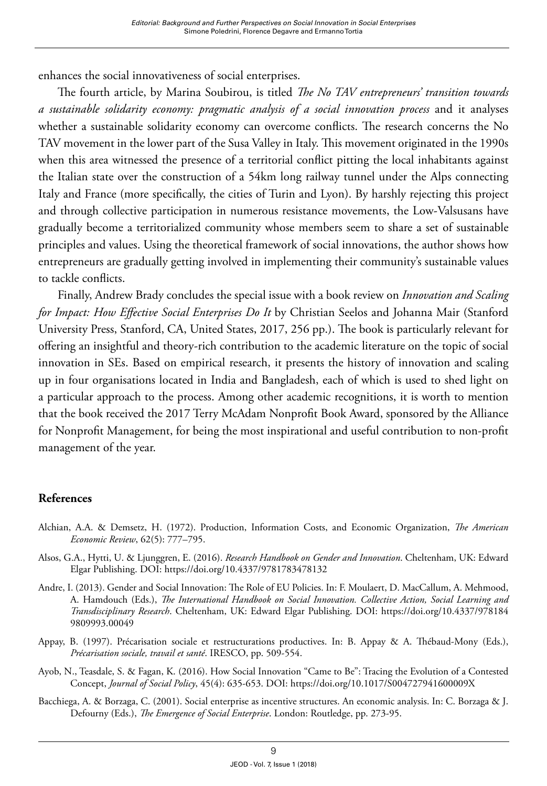enhances the social innovativeness of social enterprises.

The fourth article, by Marina Soubirou, is titled *The No TAV entrepreneurs' transition towards a sustainable solidarity economy: pragmatic analysis of a social innovation process* and it analyses whether a sustainable solidarity economy can overcome conflicts. The research concerns the No TAV movement in the lower part of the Susa Valley in Italy. This movement originated in the 1990s when this area witnessed the presence of a territorial conflict pitting the local inhabitants against the Italian state over the construction of a 54km long railway tunnel under the Alps connecting Italy and France (more specifically, the cities of Turin and Lyon). By harshly rejecting this project and through collective participation in numerous resistance movements, the Low-Valsusans have gradually become a territorialized community whose members seem to share a set of sustainable principles and values. Using the theoretical framework of social innovations, the author shows how entrepreneurs are gradually getting involved in implementing their community's sustainable values to tackle conflicts.

Finally, Andrew Brady concludes the special issue with a book review on *Innovation and Scaling for Impact: How Effective Social Enterprises Do It* by Christian Seelos and Johanna Mair (Stanford University Press, Stanford, CA, United States, 2017, 256 pp.). The book is particularly relevant for offering an insightful and theory-rich contribution to the academic literature on the topic of social innovation in SEs. Based on empirical research, it presents the history of innovation and scaling up in four organisations located in India and Bangladesh, each of which is used to shed light on a particular approach to the process. Among other academic recognitions, it is worth to mention that the book received the 2017 Terry McAdam Nonprofit Book Award, sponsored by the Alliance for Nonprofit Management, for being the most inspirational and useful contribution to non-profit management of the year.

## **References**

- Alchian, A.A. & Demsetz, H. (1972). Production, Information Costs, and Economic Organization, *The American Economic Review*, 62(5): 777–795.
- Alsos, G.A., Hytti, U. & Ljunggren, E. (2016). *Research Handbook on Gender and Innovation*. Cheltenham, UK: Edward Elgar Publishing. DOI: <https://doi.org/10.4337/9781783478132>
- Andre, I. (2013). Gender and Social Innovation: The Role of EU Policies. In: F. Moulaert, D. MacCallum, A. Mehmood, A. Hamdouch (Eds.), *The International Handbook on Social Innovation. Collective Action, Social Learning and Transdisciplinary Research*. Cheltenham, UK: Edward Elgar Publishing. DOI: [https://doi.org/10.4337/978184](https://doi.org/10.4337/9781849809993.00049) [9809993.00049](https://doi.org/10.4337/9781849809993.00049)
- Appay, B. (1997). Précarisation sociale et restructurations productives. In: B. Appay & A. Thébaud-Mony (Eds.), *Précarisation sociale, travail et santé*. IRESCO, pp. 509-554.
- Ayob, N., Teasdale, S. & Fagan, K. (2016). How Social Innovation "Came to Be": Tracing the Evolution of a Contested Concept, *Journal of Social Policy*, 45(4): 635-653. DOI:<https://doi.org/10.1017/S004727941600009X>
- Bacchiega, A. & Borzaga, C. (2001). Social enterprise as incentive structures. An economic analysis. In: C. Borzaga & J. Defourny (Eds.), *The Emergence of Social Enterprise*. London: Routledge, pp. 273-95.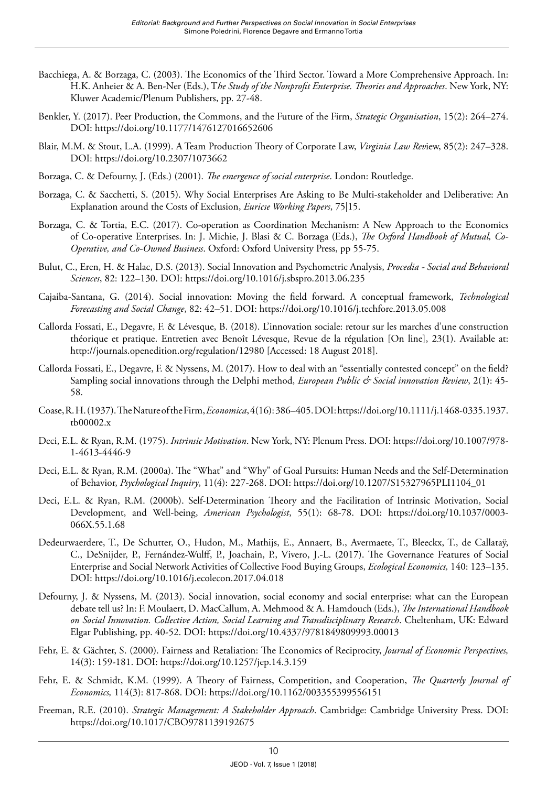- Bacchiega, A. & Borzaga, C. (2003). The Economics of the Third Sector. Toward a More Comprehensive Approach. In: H.K. Anheier & A. Ben-Ner (Eds.), T*he Study of the Nonprofit Enterprise. Theories and Approaches*. New York, NY: Kluwer Academic/Plenum Publishers, pp. 27-48.
- Benkler, Y. (2017). Peer Production, the Commons, and the Future of the Firm, *Strategic Organisation*, 15(2): 264–274. DOI:<https://doi.org/10.1177/1476127016652606>
- Blair, M.M. & Stout, L.A. (1999). A Team Production Theory of Corporate Law, *Virginia Law Rev*iew, 85(2): 247–328. DOI:<https://doi.org/10.2307/1073662>
- Borzaga, C. & Defourny, J. (Eds.) (2001). *The emergence of social enterprise*. London: Routledge.
- Borzaga, C. & Sacchetti, S. (2015). Why Social Enterprises Are Asking to Be Multi-stakeholder and Deliberative: An Explanation around the Costs of Exclusion, *Euricse Working Papers*, 75|15.
- Borzaga, C. & Tortia, E.C. (2017). Co-operation as Coordination Mechanism: A New Approach to the Economics of Co-operative Enterprises. In: J. Michie, J. Blasi & C. Borzaga (Eds.), *The Oxford Handbook of Mutual, Co-Operative, and Co-Owned Business*. Oxford: Oxford University Press, pp 55-75.
- Bulut, C., Eren, H. & Halac, D.S. (2013). Social Innovation and Psychometric Analysis, *Procedia Social and Behavioral Sciences*, 82: 122–130. DOI:<https://doi.org/10.1016/j.sbspro.2013.06.235>
- Cajaiba-Santana, G. (2014). Social innovation: Moving the field forward. A conceptual framework, *Technological Forecasting and Social Change*, 82: 42–51. DOI: <https://doi.org/10.1016/j.techfore.2013.05.008>
- Callorda Fossati, E., Degavre, F. & Lévesque, B. (2018). L'innovation sociale: retour sur les marches d'une construction théorique et pratique. Entretien avec Benoît Lévesque, Revue de la régulation [On line], 23(1). Available at: <http://journals.openedition.org/regulation/12980> [Accessed: 18 August 2018].
- Callorda Fossati, E., Degavre, F. & Nyssens, M. (2017). How to deal with an "essentially contested concept" on the field? Sampling social innovations through the Delphi method, *European Public & Social innovation Review*, 2(1): 45- 58.
- Coase, R. H. (1937). The Nature of the Firm, *Economica*, 4(16): 386–405. DOI: [https://doi.org/10.1111/j.1468-0335.1937.](https://doi.org/10.1111/j.1468-0335.1937.tb00002.x) [tb00002.x](https://doi.org/10.1111/j.1468-0335.1937.tb00002.x)
- Deci, E.L. & Ryan, R.M. (1975). *Intrinsic Motivation*. New York, NY: Plenum Press. DOI: [https://doi.org/10.1007/978-](https://doi.org/10.1007/978-1-4613-4446-9) [1-4613-4446-9](https://doi.org/10.1007/978-1-4613-4446-9)
- Deci, E.L. & Ryan, R.M. (2000a). The "What" and "Why" of Goal Pursuits: Human Needs and the Self-Determination of Behavior, *Psychological Inquiry*, 11(4): 227-268. DOI: [https://doi.org/10.1207/S15327965PLI1104\\_01](https://doi.org/10.1207/S15327965PLI1104_01)
- Deci, E.L. & Ryan, R.M. (2000b). Self-Determination Theory and the Facilitation of Intrinsic Motivation, Social Development, and Well-being, *American Psychologist*, 55(1): 68-78. DOI: [https://doi.org/10.1037/0003-](https://doi.org/10.1037/0003-066X.55.1.68) [066X.55.1.68](https://doi.org/10.1037/0003-066X.55.1.68)
- Dedeurwaerdere, T., De Schutter, O., Hudon, M., Mathijs, E., Annaert, B., Avermaete, T., Bleeckx, T., de Callataÿ, C., DeSnijder, P., Fernández-Wulff, P., Joachain, P., Vivero, J.-L. (2017). The Governance Features of Social Enterprise and Social Network Activities of Collective Food Buying Groups, *Ecological Economics,* 140: 123–135. DOI:<https://doi.org/10.1016/j.ecolecon.2017.04.018>
- Defourny, J. & Nyssens, M. (2013). Social innovation, social economy and social enterprise: what can the European debate tell us? In: F. Moulaert, D. MacCallum, A. Mehmood & A. Hamdouch (Eds.), *The International Handbook on Social Innovation. Collective Action, Social Learning and Transdisciplinary Research*. Cheltenham, UK: Edward Elgar Publishing, pp. 40-52. DOI: <https://doi.org/10.4337/9781849809993.00013>
- Fehr, E. & Gächter, S. (2000). Fairness and Retaliation: The Economics of Reciprocity, *Journal of Economic Perspectives,* 14(3): 159-181. DOI:<https://doi.org/10.1257/jep.14.3.159>
- Fehr, E. & Schmidt, K.M. (1999). A Theory of Fairness, Competition, and Cooperation, *The Quarterly Journal of Economics,* 114(3): 817-868. DOI: <https://doi.org/10.1162/003355399556151>
- Freeman, R.E. (2010). *Strategic Management: A Stakeholder Approach*. Cambridge: Cambridge University Press. DOI: <https://doi.org/10.1017/CBO9781139192675>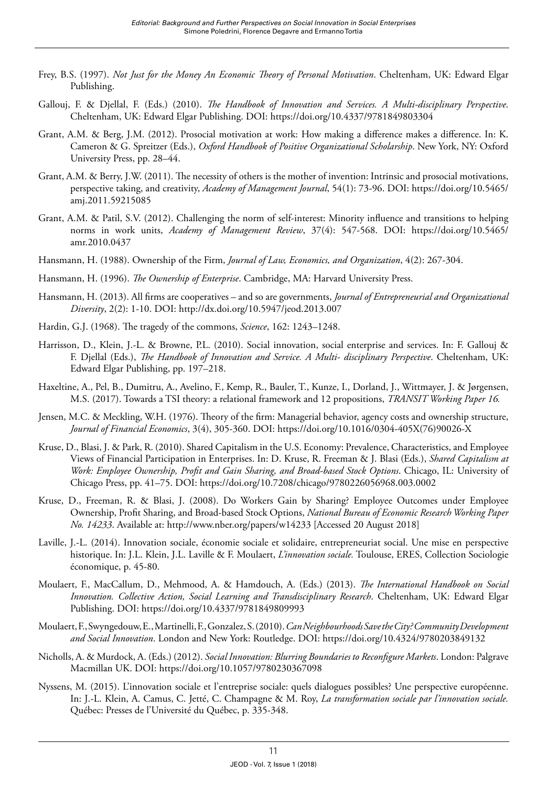- Frey, B.S. (1997). *Not Just for the Money An Economic Theory of Personal Motivation*. Cheltenham, UK: Edward Elgar Publishing.
- Gallouj, F. & Djellal, F. (Eds.) (2010). *The Handbook of Innovation and Services. A Multi-disciplinary Perspective*. Cheltenham, UK: Edward Elgar Publishing. DOI: <https://doi.org/10.4337/9781849803304>
- Grant, A.M. & Berg, J.M. (2012). Prosocial motivation at work: How making a difference makes a difference. In: K. Cameron & G. Spreitzer (Eds.), *Oxford Handbook of Positive Organizational Scholarship*. New York, NY: Oxford University Press, pp. 28–44.
- Grant, A.M. & Berry, J.W. (2011). The necessity of others is the mother of invention: Intrinsic and prosocial motivations, perspective taking, and creativity, *Academy of Management Journal*, 54(1): 73-96. DOI: [https://doi.org/10.5465/](https://doi.org/10.5465/amj.2011.59215085) [amj.2011.59215085](https://doi.org/10.5465/amj.2011.59215085)
- Grant, A.M. & Patil, S.V. (2012). Challenging the norm of self-interest: Minority influence and transitions to helping norms in work units, *Academy of Management Review*, 37(4): 547-568. DOI: [https://doi.org/10.5465/](https://doi.org/10.5465/amr.2010.0437) [amr.2010.0437](https://doi.org/10.5465/amr.2010.0437)
- Hansmann, H. (1988). Ownership of the Firm, *Journal of Law, Economics, and Organization*, 4(2): 267-304.
- Hansmann, H. (1996). *The Ownership of Enterprise*. Cambridge, MA: Harvard University Press.
- Hansmann, H. (2013). All firms are cooperatives and so are governments, *Journal of Entrepreneurial and Organizational Diversity*, 2(2): 1-10. DOI: <http://dx.doi.org/10.5947/jeod.2013.007>
- Hardin, G.J. (1968). The tragedy of the commons, *Science*, 162: 1243–1248.
- Harrisson, D., Klein, J.-L. & Browne, P.L. (2010). Social innovation, social enterprise and services. In: F. Gallouj & F. Djellal (Eds.), *The Handbook of Innovation and Service. A Multi- disciplinary Perspective*. Cheltenham, UK: Edward Elgar Publishing, pp. 197–218.
- Haxeltine, A., Pel, B., Dumitru, A., Avelino, F., Kemp, R., Bauler, T., Kunze, I., Dorland, J., Wittmayer, J. & Jørgensen, M.S. (2017). Towards a TSI theory: a relational framework and 12 propositions, *TRANSIT Working Paper 16.*
- Jensen, M.C. & Meckling, W.H. (1976). Theory of the firm: Managerial behavior, agency costs and ownership structure, *Journal of Financial Economics*, 3(4), 305-360. DOI: [https://doi.org/10.1016/0304-405X\(76\)90026-X](https://doi.org/10.1016/0304-405X(76)90026-X)
- Kruse, D., Blasi, J. & Park, R. (2010). Shared Capitalism in the U.S. Economy: Prevalence, Characteristics, and Employee Views of Financial Participation in Enterprises. In: D. Kruse, R. Freeman & J. Blasi (Eds.), *Shared Capitalism at Work: Employee Ownership, Profit and Gain Sharing, and Broad-based Stock Options*. Chicago, IL: University of Chicago Press, pp. 41–75. DOI:<https://doi.org/10.7208/chicago/9780226056968.003.0002>
- Kruse, D., Freeman, R. & Blasi, J. (2008). Do Workers Gain by Sharing? Employee Outcomes under Employee Ownership, Profit Sharing, and Broad-based Stock Options, *National Bureau of Economic Research Working Paper No. 14233*. Available at: <http://www.nber.org/papers/w14233>[Accessed 20 August 2018]
- Laville, J.-L. (2014). Innovation sociale, économie sociale et solidaire, entrepreneuriat social. Une mise en perspective historique. In: J.L. Klein, J.L. Laville & F. Moulaert, *L'innovation sociale.* Toulouse, ERES, Collection Sociologie économique, p. 45-80.
- Moulaert, F., MacCallum, D., Mehmood, A. & Hamdouch, A. (Eds.) (2013). *The International Handbook on Social Innovation. Collective Action, Social Learning and Transdisciplinary Research*. Cheltenham, UK: Edward Elgar Publishing. DOI:<https://doi.org/10.4337/9781849809993>
- Moulaert, F., Swyngedouw, E., Martinelli, F., Gonzalez, S. (2010). *Can Neighbourhoods Save the City? Community Development and Social Innovation*. London and New York: Routledge. DOI: <https://doi.org/10.4324/9780203849132>
- Nicholls, A. & Murdock, A. (Eds.) (2012). *Social Innovation: Blurring Boundaries to Reconfigure Markets*. London: Palgrave Macmillan UK. DOI:<https://doi.org/10.1057/9780230367098>
- Nyssens, M. (2015). L'innovation sociale et l'entreprise sociale: quels dialogues possibles? Une perspective européenne. In: J.-L. Klein, A. Camus, C. Jetté, C. Champagne & M. Roy, *La transformation sociale par l'innovation sociale.*  Québec: Presses de l'Université du Québec, p. 335-348.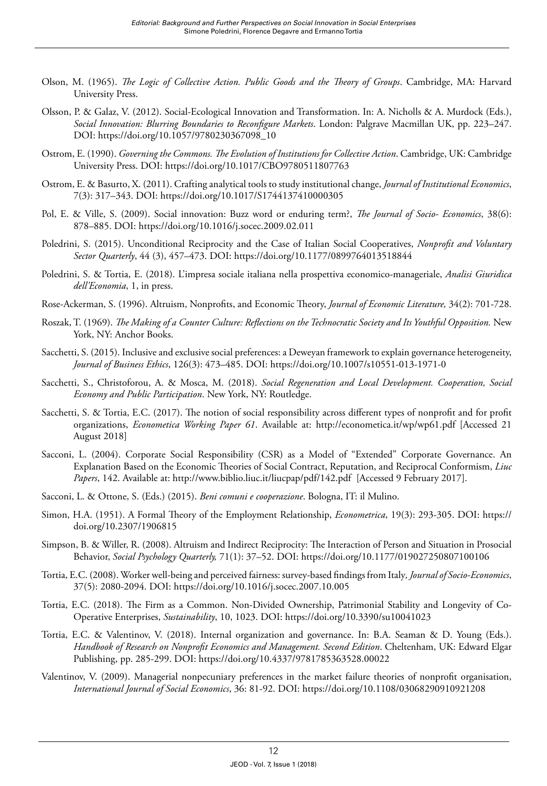- Olson, M. (1965). *The Logic of Collective Action. Public Goods and the Theory of Groups*. Cambridge, MA: Harvard University Press.
- Olsson, P. & Galaz, V. (2012). Social-Ecological Innovation and Transformation. In: A. Nicholls & A. Murdock (Eds.), *Social Innovation: Blurring Boundaries to Reconfigure Markets*. London: Palgrave Macmillan UK, pp. 223–247. DOI: [https://doi.org/10.1057/9780230367098\\_10](https://doi.org/10.1057/9780230367098_10)
- Ostrom, E. (1990). *Governing the Commons. The Evolution of Institutions for Collective Action*. Cambridge, UK: Cambridge University Press. DOI:<https://doi.org/10.1017/CBO9780511807763>
- Ostrom, E. & Basurto, X. (2011). Crafting analytical tools to study institutional change, *Journal of Institutional Economics*, 7(3): 317–343. DOI:<https://doi.org/10.1017/S1744137410000305>
- Pol, E. & Ville, S. (2009). Social innovation: Buzz word or enduring term?, *The Journal of Socio- Economics*, 38(6): 878–885. DOI: <https://doi.org/10.1016/j.socec.2009.02.011>
- Poledrini, S. (2015). Unconditional Reciprocity and the Case of Italian Social Cooperatives, *Nonprofit and Voluntary Sector Quarterly*, 44 (3), 457–473. DOI:<https://doi.org/10.1177/0899764013518844>
- Poledrini, S. & Tortia, E. (2018). L'impresa sociale italiana nella prospettiva economico-manageriale, *Analisi Giuridica dell'Economia*, 1, in press.
- Rose-Ackerman, S. (1996). Altruism, Nonprofits, and Economic Theory, *Journal of Economic Literature,* 34(2): 701-728.
- Roszak, T. (1969). *[The Making of a Counter Culture:](https://en.wikipedia.org/wiki/The_Making_of_a_Counter_Culture) Reflections on the Technocratic Society and Its Youthful Opposition.* New York, NY: Anchor Books.
- Sacchetti, S. (2015). Inclusive and exclusive social preferences: a Deweyan framework to explain governance heterogeneity, *Journal of Business Ethics*, 126(3): 473–485. DOI: <https://doi.org/10.1007/s10551-013-1971-0>
- Sacchetti, S., Christoforou, A. & Mosca, M. (2018). *Social Regeneration and Local Development. Cooperation, Social Economy and Public Participation*. New York, NY: Routledge.
- Sacchetti, S. & Tortia, E.C. (2017). The notion of social responsibility across different types of nonprofit and for profit organizations, *Econometica Working Paper 61*. Available at: <http://econometica.it/wp/wp61.pdf>[Accessed 21 August 2018]
- Sacconi, L. (2004). Corporate Social Responsibility (CSR) as a Model of "Extended" Corporate Governance. An Explanation Based on the Economic Theories of Social Contract, Reputation, and Reciprocal Conformism, *Liuc Papers*, 142. Available at:<http://www.biblio.liuc.it/liucpap/pdf/142.pdf> [Accessed 9 February 2017].
- Sacconi, L. & Ottone, S. (Eds.) (2015). *Beni comuni e cooperazione*. Bologna, IT: il Mulino.
- Simon, H.A. (1951). A Formal Theory of the Employment Relationship, *Econometrica*, 19(3): 293-305. DOI: [https://](https://doi.org/10.2307/1906815) [doi.org/10.2307/1906815](https://doi.org/10.2307/1906815)
- Simpson, B. & Willer, R. (2008). Altruism and Indirect Reciprocity: The Interaction of Person and Situation in Prosocial Behavior, *Social Psychology Quarterly,* 71(1): 37–52. DOI: <https://doi.org/10.1177/019027250807100106>
- Tortia, E.C. (2008). Worker well-being and perceived fairness: survey-based findings from Italy*, Journal of Socio-Economics*, 37(5): 2080-2094. DOI:<https://doi.org/10.1016/j.socec.2007.10.005>
- Tortia, E.C. (2018). The Firm as a Common. Non-Divided Ownership, Patrimonial Stability and Longevity of Co-Operative Enterprises, *Sustainability*, 10, 1023. DOI: <https://doi.org/10.3390/su10041023>
- Tortia, E.C. & Valentinov, V. (2018). Internal organization and governance. In: B.A. Seaman & D. Young (Eds.). *Handbook of Research on Nonprofit Economics and Management. Second Edition*. Cheltenham, UK: Edward Elgar Publishing, pp. 285-299. DOI:<https://doi.org/10.4337/9781785363528.00022>
- Valentinov, V. (2009). Managerial nonpecuniary preferences in the market failure theories of nonprofit organisation, *International Journal of Social Economics*, 36: 81-92. DOI:<https://doi.org/10.1108/03068290910921208>